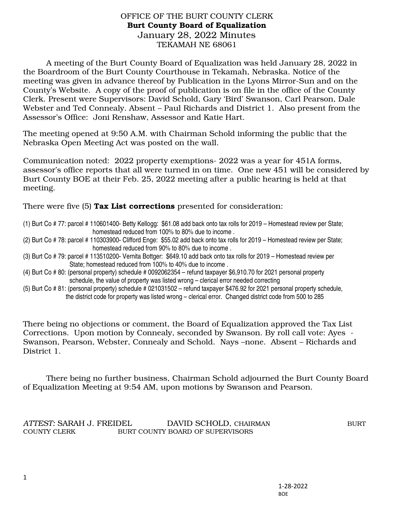## OFFICE OF THE BURT COUNTY CLERK Burt County Board of Equalization January 28, 2022 Minutes TEKAMAH NE 68061

A meeting of the Burt County Board of Equalization was held January 28, 2022 in the Boardroom of the Burt County Courthouse in Tekamah, Nebraska. Notice of the meeting was given in advance thereof by Publication in the Lyons Mirror-Sun and on the County's Website. A copy of the proof of publication is on file in the office of the County Clerk. Present were Supervisors: David Schold, Gary 'Bird' Swanson, Carl Pearson, Dale Webster and Ted Connealy. Absent – Paul Richards and District 1. Also present from the Assessor's Office: Joni Renshaw, Assessor and Katie Hart.

The meeting opened at 9:50 A.M. with Chairman Schold informing the public that the Nebraska Open Meeting Act was posted on the wall.

Communication noted: 2022 property exemptions- 2022 was a year for 451A forms, assessor's office reports that all were turned in on time. One new 451 will be considered by Burt County BOE at their Feb. 25, 2022 meeting after a public hearing is held at that meeting.

There were five (5) Tax List corrections presented for consideration:

- (1) Burt Co # 77: parcel # 110601400- Betty Kellogg: \$61.08 add back onto tax rolls for 2019 Homestead review per State; homestead reduced from 100% to 80% due to income .
- (2) Burt Co # 78: parcel # 110303900- Clifford Enge: \$55.02 add back onto tax rolls for 2019 Homestead review per State; homestead reduced from 90% to 80% due to income .
- (3) Burt Co # 79: parcel # 113510200- Vernita Bottger: \$649.10 add back onto tax rolls for 2019 Homestead review per State; homestead reduced from 100% to 40% due to income .
- (4) Burt Co # 80: (personal property) schedule # 0092062354 refund taxpayer \$6,910.70 for 2021 personal property schedule, the value of property was listed wrong – clerical error needed correcting
- (5) Burt Co # 81: (personal property) schedule # 021031502 refund taxpayer \$476.92 for 2021 personal property schedule, the district code for property was listed wrong – clerical error. Changed district code from 500 to 285

There being no objections or comment, the Board of Equalization approved the Tax List Corrections. Upon motion by Connealy, seconded by Swanson. By roll call vote: Ayes - Swanson, Pearson, Webster, Connealy and Schold. Nays –none. Absent – Richards and District 1.

 There being no further business, Chairman Schold adjourned the Burt County Board of Equalization Meeting at 9:54 AM, upon motions by Swanson and Pearson.

## *ATTEST:* SARAH J. FREIDEL DAVID SCHOLD, CHAIRMAN BURT COUNTY CLERK BURT COUNTY BOARD OF SUPERVISORS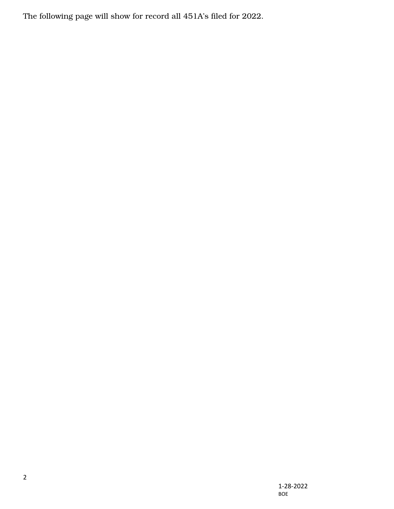The following page will show for record all 451A's filed for 2022.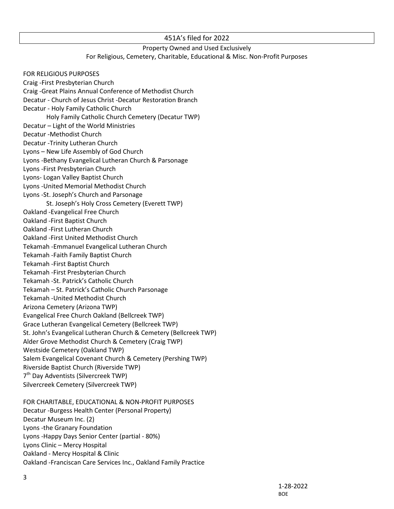## 451A's filed for 2022

## Property Owned and Used Exclusively For Religious, Cemetery, Charitable, Educational & Misc. Non-Profit Purposes

FOR RELIGIOUS PURPOSES Craig -First Presbyterian Church Craig -Great Plains Annual Conference of Methodist Church Decatur - Church of Jesus Christ -Decatur Restoration Branch Decatur - Holy Family Catholic Church Holy Family Catholic Church Cemetery (Decatur TWP) Decatur – Light of the World Ministries Decatur -Methodist Church Decatur -Trinity Lutheran Church Lyons – New Life Assembly of God Church Lyons -Bethany Evangelical Lutheran Church & Parsonage Lyons -First Presbyterian Church Lyons- Logan Valley Baptist Church Lyons -United Memorial Methodist Church Lyons -St. Joseph's Church and Parsonage St. Joseph's Holy Cross Cemetery (Everett TWP) Oakland -Evangelical Free Church Oakland -First Baptist Church Oakland -First Lutheran Church Oakland -First United Methodist Church Tekamah -Emmanuel Evangelical Lutheran Church Tekamah -Faith Family Baptist Church Tekamah -First Baptist Church Tekamah -First Presbyterian Church Tekamah -St. Patrick's Catholic Church Tekamah – St. Patrick's Catholic Church Parsonage Tekamah -United Methodist Church Arizona Cemetery (Arizona TWP) Evangelical Free Church Oakland (Bellcreek TWP) Grace Lutheran Evangelical Cemetery (Bellcreek TWP) St. John's Evangelical Lutheran Church & Cemetery (Bellcreek TWP) Alder Grove Methodist Church & Cemetery (Craig TWP) Westside Cemetery (Oakland TWP) Salem Evangelical Covenant Church & Cemetery (Pershing TWP) Riverside Baptist Church (Riverside TWP) 7<sup>th</sup> Day Adventists (Silvercreek TWP) Silvercreek Cemetery (Silvercreek TWP) FOR CHARITABLE, EDUCATIONAL & NON-PROFIT PURPOSES Decatur -Burgess Health Center (Personal Property)

Decatur Museum Inc. (2) Lyons -the Granary Foundation Lyons -Happy Days Senior Center (partial - 80%) Lyons Clinic – Mercy Hospital Oakland - Mercy Hospital & Clinic Oakland -Franciscan Care Services Inc., Oakland Family Practice